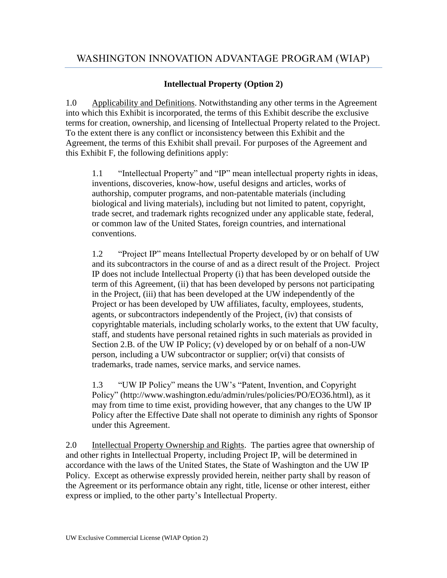## **Intellectual Property (Option 2)**

1.0 Applicability and Definitions. Notwithstanding any other terms in the Agreement into which this Exhibit is incorporated, the terms of this Exhibit describe the exclusive terms for creation, ownership, and licensing of Intellectual Property related to the Project. To the extent there is any conflict or inconsistency between this Exhibit and the Agreement, the terms of this Exhibit shall prevail. For purposes of the Agreement and this Exhibit F, the following definitions apply:

1.1 "Intellectual Property" and "IP" mean intellectual property rights in ideas, inventions, discoveries, know-how, useful designs and articles, works of authorship, computer programs, and non-patentable materials (including biological and living materials), including but not limited to patent, copyright, trade secret, and trademark rights recognized under any applicable state, federal, or common law of the United States, foreign countries, and international conventions.

1.2 "Project IP" means Intellectual Property developed by or on behalf of UW and its subcontractors in the course of and as a direct result of the Project. Project IP does not include Intellectual Property (i) that has been developed outside the term of this Agreement, (ii) that has been developed by persons not participating in the Project, (iii) that has been developed at the UW independently of the Project or has been developed by UW affiliates, faculty, employees, students, agents, or subcontractors independently of the Project, (iv) that consists of copyrightable materials, including scholarly works, to the extent that UW faculty, staff, and students have personal retained rights in such materials as provided in Section 2.B. of the UW IP Policy; (v) developed by or on behalf of a non-UW person, including a UW subcontractor or supplier; or(vi) that consists of trademarks, trade names, service marks, and service names.

1.3 "UW IP Policy" means the UW's "Patent, Invention, and Copyright Policy" (http://www.washington.edu/admin/rules/policies/PO/EO36.html), as it may from time to time exist, providing however, that any changes to the UW IP Policy after the Effective Date shall not operate to diminish any rights of Sponsor under this Agreement.

2.0 Intellectual Property Ownership and Rights. The parties agree that ownership of and other rights in Intellectual Property, including Project IP, will be determined in accordance with the laws of the United States, the State of Washington and the UW IP Policy. Except as otherwise expressly provided herein, neither party shall by reason of the Agreement or its performance obtain any right, title, license or other interest, either express or implied, to the other party's Intellectual Property.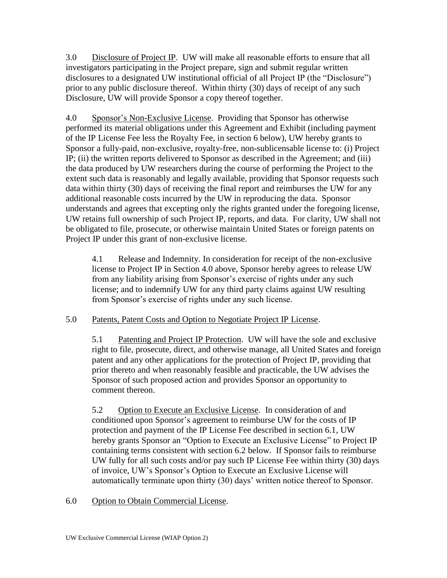3.0 Disclosure of Project IP. UW will make all reasonable efforts to ensure that all investigators participating in the Project prepare, sign and submit regular written disclosures to a designated UW institutional official of all Project IP (the "Disclosure") prior to any public disclosure thereof. Within thirty (30) days of receipt of any such Disclosure, UW will provide Sponsor a copy thereof together.

4.0 Sponsor's Non-Exclusive License. Providing that Sponsor has otherwise performed its material obligations under this Agreement and Exhibit (including payment of the IP License Fee less the Royalty Fee, in section 6 below), UW hereby grants to Sponsor a fully-paid, non-exclusive, royalty-free, non-sublicensable license to: (i) Project IP; (ii) the written reports delivered to Sponsor as described in the Agreement; and (iii) the data produced by UW researchers during the course of performing the Project to the extent such data is reasonably and legally available, providing that Sponsor requests such data within thirty (30) days of receiving the final report and reimburses the UW for any additional reasonable costs incurred by the UW in reproducing the data. Sponsor understands and agrees that excepting only the rights granted under the foregoing license, UW retains full ownership of such Project IP, reports, and data. For clarity, UW shall not be obligated to file, prosecute, or otherwise maintain United States or foreign patents on Project IP under this grant of non-exclusive license.

4.1 Release and Indemnity. In consideration for receipt of the non-exclusive license to Project IP in Section 4.0 above, Sponsor hereby agrees to release UW from any liability arising from Sponsor's exercise of rights under any such license; and to indemnify UW for any third party claims against UW resulting from Sponsor's exercise of rights under any such license.

## 5.0 Patents, Patent Costs and Option to Negotiate Project IP License.

5.1 Patenting and Project IP Protection. UW will have the sole and exclusive right to file, prosecute, direct, and otherwise manage, all United States and foreign patent and any other applications for the protection of Project IP, providing that prior thereto and when reasonably feasible and practicable, the UW advises the Sponsor of such proposed action and provides Sponsor an opportunity to comment thereon.

5.2 Option to Execute an Exclusive License. In consideration of and conditioned upon Sponsor's agreement to reimburse UW for the costs of IP protection and payment of the IP License Fee described in section 6.1, UW hereby grants Sponsor an "Option to Execute an Exclusive License" to Project IP containing terms consistent with section 6.2 below. If Sponsor fails to reimburse UW fully for all such costs and/or pay such IP License Fee within thirty (30) days of invoice, UW's Sponsor's Option to Execute an Exclusive License will automatically terminate upon thirty (30) days' written notice thereof to Sponsor.

6.0 Option to Obtain Commercial License.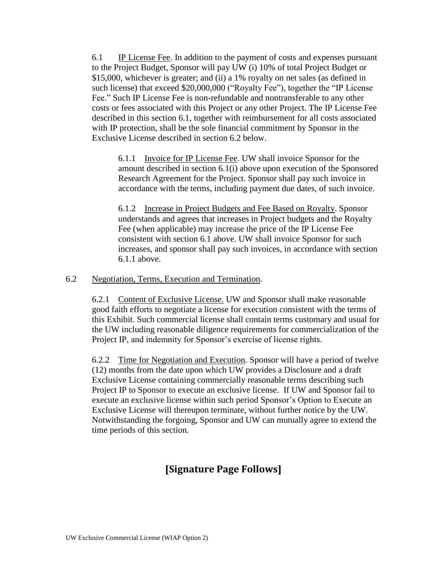6.1 IP License Fee. In addition to the payment of costs and expenses pursuant to the Project Budget, Sponsor will pay UW (i) 10% of total Project Budget or \$15,000, whichever is greater; and (ii) a 1% royalty on net sales (as defined in such license) that exceed \$20,000,000 ("Royalty Fee"), together the "IP License Fee." Such IP License Fee is non-refundable and nontransferable to any other costs or fees associated with this Project or any other Project. The IP License Fee described in this section 6.1, together with reimbursement for all costs associated with IP protection, shall be the sole financial commitment by Sponsor in the Exclusive License described in section 6.2 below.

6.1.1 Invoice for IP License Fee. UW shall invoice Sponsor for the amount described in section 6.1(i) above upon execution of the Sponsored Research Agreement for the Project. Sponsor shall pay such invoice in accordance with the terms, including payment due dates, of such invoice.

6.1.2 Increase in Project Budgets and Fee Based on Royalty. Sponsor understands and agrees that increases in Project budgets and the Royalty Fee (when applicable) may increase the price of the IP License Fee consistent with section 6.1 above. UW shall invoice Sponsor for such increases, and sponsor shall pay such invoices, in accordance with section 6.1.1 above.

#### 6.2 Negotiation, Terms, Execution and Termination.

6.2.1 Content of Exclusive License. UW and Sponsor shall make reasonable good faith efforts to negotiate a license for execution consistent with the terms of this Exhibit. Such commercial license shall contain terms customary and usual for the UW including reasonable diligence requirements for commercialization of the Project IP, and indemnity for Sponsor's exercise of license rights.

6.2.2 Time for Negotiation and Execution. Sponsor will have a period of twelve (12) months from the date upon which UW provides a Disclosure and a draft Exclusive License containing commercially reasonable terms describing such Project IP to Sponsor to execute an exclusive license. If UW and Sponsor fail to execute an exclusive license within such period Sponsor's Option to Execute an Exclusive License will thereupon terminate, without further notice by the UW. Notwithstanding the forgoing, Sponsor and UW can mutually agree to extend the time periods of this section.

# **[Signature Page Follows]**